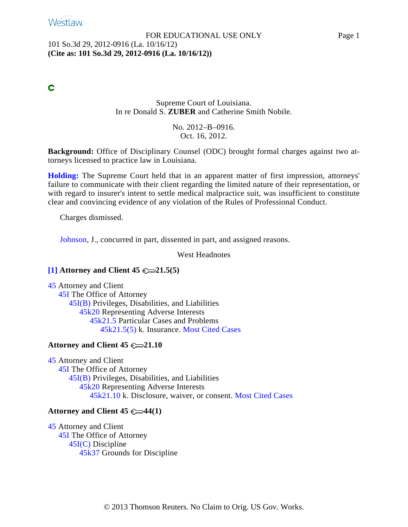# **Westlaw**

#### FOR EDUCATIONAL USE ONLY Page 1 101 So.3d 29, 2012-0916 (La. 10/16/12) **(Cite as: 101 So.3d 29, 2012-0916 (La. 10/16/12))**

## C

## Supreme Court of Louisiana. In re Donald S. **ZUBER** and Catherine Smith Nobile.

## No. 2012–B–0916. Oct. 16, 2012.

**Background:** Office of Disciplinary Counsel (ODC) brought formal charges against two attorneys licensed to practice law in Louisiana.

**[Holding:](#page-8-0)** The Supreme Court held that in an apparent matter of first impression, attorneys' failure to communicate with their client regarding the limited nature of their representation, or with regard to insurer's intent to settle medical malpractice suit, was insufficient to constitute clear and convincing evidence of any violation of the Rules of Professional Conduct.

Charges dismissed.

[Johnson](http://www.westlaw.com/Find/Default.wl?rs=dfa1.0&vr=2.0&DB=PROFILER-WLD&DocName=0202217201&FindType=h), J., concurred in part, dissented in part, and assigned reasons.

West Headnotes

## <span id="page-0-0"></span>**[\[1\]](#page-6-0) Attorney and Client 45 21.5(5)**

[45](http://www.westlaw.com/KeyNumber/Default.wl?rs=dfa1.0&vr=2.0&CMD=KEY&DocName=45) Attorney and Client [45I](http://www.westlaw.com/KeyNumber/Default.wl?rs=dfa1.0&vr=2.0&CMD=KEY&DocName=45I) The Office of Attorney 45I(B) [Privile](http://www.westlaw.com/KeyNumber/Default.wl?rs=dfa1.0&vr=2.0&CMD=KEY&DocName=45I%28B%29)ges, Disabilities, and Liabilities [45k20](http://www.westlaw.com/KeyNumber/Default.wl?rs=dfa1.0&vr=2.0&CMD=KEY&DocName=45k20) Representing Adverse Interests 45k21.5 Part[icular Ca](http://www.westlaw.com/KeyNumber/Default.wl?rs=dfa1.0&vr=2.0&CMD=KEY&DocName=45k21.5)ses and Problems [45k21.5\(5\)](http://www.westlaw.com/KeyNumber/Default.wl?rs=dfa1.0&vr=2.0&CMD=KEY&DocName=45k21.5%285%29) k. Insurance. [Most Cited Cases](http://www.westlaw.com/Digest/Default.wl?rs=dfa1.0&vr=2.0&CMD=MCC&DocName=45k21.5%285%29)

## **Attorney and Client 45 21.10**

[45](http://www.westlaw.com/KeyNumber/Default.wl?rs=dfa1.0&vr=2.0&CMD=KEY&DocName=45) Attorney and Client [45I](http://www.westlaw.com/KeyNumber/Default.wl?rs=dfa1.0&vr=2.0&CMD=KEY&DocName=45I) The Office of Attorney 45I(B) [Privile](http://www.westlaw.com/KeyNumber/Default.wl?rs=dfa1.0&vr=2.0&CMD=KEY&DocName=45I%28B%29)ges, Disabilities, and Liabilities [45k20](http://www.westlaw.com/KeyNumber/Default.wl?rs=dfa1.0&vr=2.0&CMD=KEY&DocName=45k20) Representing Adverse Interests 45k21.10 k. [Disclosure](http://www.westlaw.com/KeyNumber/Default.wl?rs=dfa1.0&vr=2.0&CMD=KEY&DocName=45k21.10), waiver, or consent. [Most Cited Cases](http://www.westlaw.com/Digest/Default.wl?rs=dfa1.0&vr=2.0&CMD=MCC&DocName=45k21.10)

## **Attorney and Client 45 44(1)**

[45](http://www.westlaw.com/KeyNumber/Default.wl?rs=dfa1.0&vr=2.0&CMD=KEY&DocName=45) Attorney and Client [45I](http://www.westlaw.com/KeyNumber/Default.wl?rs=dfa1.0&vr=2.0&CMD=KEY&DocName=45I) The Office of Attorney 45I(C) [Discip](http://www.westlaw.com/KeyNumber/Default.wl?rs=dfa1.0&vr=2.0&CMD=KEY&DocName=45I%28C%29)line [45k37](http://www.westlaw.com/KeyNumber/Default.wl?rs=dfa1.0&vr=2.0&CMD=KEY&DocName=45k37) Grounds for Discipline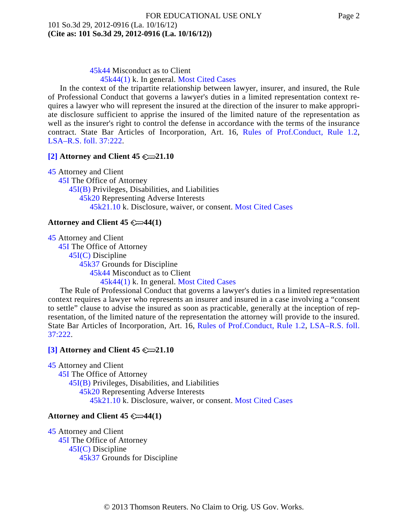45k44 Misc[onduct](http://www.westlaw.com/KeyNumber/Default.wl?rs=dfa1.0&vr=2.0&CMD=KEY&DocName=45k44) as to Client

[45k44\(1\)](http://www.westlaw.com/KeyNumber/Default.wl?rs=dfa1.0&vr=2.0&CMD=KEY&DocName=45k44%281%29) k. In general. [Most Cited Cases](http://www.westlaw.com/Digest/Default.wl?rs=dfa1.0&vr=2.0&CMD=MCC&DocName=45k44%281%29)

In the context of the tripartite relationship between lawyer, insurer, and insured, the Rule of Professional Conduct that governs a lawyer's duties in a limited representation context requires a lawyer who will represent the insured at the direction of the insurer to make appropriate disclosure sufficient to apprise the insured of the limited nature of the representation as well as the insurer's right to control the defense in accordance with the terms of the insurance contract. State Bar Articles of Incorporation, Art. 16, [Rules of Prof.Conduct, Rule](http://www.westlaw.com/Find/Default.wl?rs=dfa1.0&vr=2.0&DB=1000011&DocName=LASTBAR16RPCR1.2&FindType=L) 1.2, [LSA–R.S. foll. 37:222](http://www.westlaw.com/Find/Default.wl?rs=dfa1.0&vr=2.0&DB=1000011&DocName=LARS37%3A222&FindType=L).

## <span id="page-1-0"></span>**[\[2\]](#page-7-0) Attorney and Client 45 21.10**

[45](http://www.westlaw.com/KeyNumber/Default.wl?rs=dfa1.0&vr=2.0&CMD=KEY&DocName=45) Attorney and Client [45I](http://www.westlaw.com/KeyNumber/Default.wl?rs=dfa1.0&vr=2.0&CMD=KEY&DocName=45I) The Office of Attorney 45I(B) [Privile](http://www.westlaw.com/KeyNumber/Default.wl?rs=dfa1.0&vr=2.0&CMD=KEY&DocName=45I%28B%29)ges, Disabilities, and Liabilities [45k20](http://www.westlaw.com/KeyNumber/Default.wl?rs=dfa1.0&vr=2.0&CMD=KEY&DocName=45k20) Representing Adverse Interests 45k21.10 k. [Disclosure](http://www.westlaw.com/KeyNumber/Default.wl?rs=dfa1.0&vr=2.0&CMD=KEY&DocName=45k21.10), waiver, or consent. [Most Cited Cases](http://www.westlaw.com/Digest/Default.wl?rs=dfa1.0&vr=2.0&CMD=MCC&DocName=45k21.10)

## **Attorney and Client 45**  $\mathbb{C}\rightarrow\mathbb{4}(1)$

[45](http://www.westlaw.com/KeyNumber/Default.wl?rs=dfa1.0&vr=2.0&CMD=KEY&DocName=45) Attorney and Client [45I](http://www.westlaw.com/KeyNumber/Default.wl?rs=dfa1.0&vr=2.0&CMD=KEY&DocName=45I) The Office of Attorney 45I(C) [Discip](http://www.westlaw.com/KeyNumber/Default.wl?rs=dfa1.0&vr=2.0&CMD=KEY&DocName=45I%28C%29)line [45k37](http://www.westlaw.com/KeyNumber/Default.wl?rs=dfa1.0&vr=2.0&CMD=KEY&DocName=45k37) Grounds for Discipline 45k44 Misc[onduct](http://www.westlaw.com/KeyNumber/Default.wl?rs=dfa1.0&vr=2.0&CMD=KEY&DocName=45k44) as to Client [45k44\(1\)](http://www.westlaw.com/KeyNumber/Default.wl?rs=dfa1.0&vr=2.0&CMD=KEY&DocName=45k44%281%29) k. In general. [Most Cited Cases](http://www.westlaw.com/Digest/Default.wl?rs=dfa1.0&vr=2.0&CMD=MCC&DocName=45k44%281%29)

The Rule of Professional Conduct that governs a lawyer's duties in a limited representation context requires a lawyer who represents an insurer and insured in a case involving a "consent to settle" clause to advise the insured as soon as practicable, generally at the inception of representation, of the limited nature of the representation the attorney will provide to the insured. State Bar Articles of Incorporation, Art. 16, [Rules of Prof.Conduct, Rule 1.](http://www.westlaw.com/Find/Default.wl?rs=dfa1.0&vr=2.0&DB=1000011&DocName=LASTBAR16RPCR1.2&FindType=L)2, [LSA–R.S. foll.](http://www.westlaw.com/Find/Default.wl?rs=dfa1.0&vr=2.0&DB=1000011&DocName=LARS37%3A222&FindType=L)  $37:222$ 

## <span id="page-1-1"></span>**[\[3\]](#page-7-0) Attorney and Client 45 21.10**

[45](http://www.westlaw.com/KeyNumber/Default.wl?rs=dfa1.0&vr=2.0&CMD=KEY&DocName=45) Attorney and Client [45I](http://www.westlaw.com/KeyNumber/Default.wl?rs=dfa1.0&vr=2.0&CMD=KEY&DocName=45I) The Office of Attorney 45I(B) [Privile](http://www.westlaw.com/KeyNumber/Default.wl?rs=dfa1.0&vr=2.0&CMD=KEY&DocName=45I%28B%29)ges, Disabilities, and Liabilities [45k20](http://www.westlaw.com/KeyNumber/Default.wl?rs=dfa1.0&vr=2.0&CMD=KEY&DocName=45k20) Representing Adverse Interests 45k21.10 k. [Disclosure](http://www.westlaw.com/KeyNumber/Default.wl?rs=dfa1.0&vr=2.0&CMD=KEY&DocName=45k21.10), waiver, or consent. [Most Cited Cases](http://www.westlaw.com/Digest/Default.wl?rs=dfa1.0&vr=2.0&CMD=MCC&DocName=45k21.10)

## **Attorney and Client 45**  $\mathbb{C}\rightarrow\mathbb{4}(1)$

[45](http://www.westlaw.com/KeyNumber/Default.wl?rs=dfa1.0&vr=2.0&CMD=KEY&DocName=45) Attorney and Client [45I](http://www.westlaw.com/KeyNumber/Default.wl?rs=dfa1.0&vr=2.0&CMD=KEY&DocName=45I) The Office of Attorney 45I(C) [Discip](http://www.westlaw.com/KeyNumber/Default.wl?rs=dfa1.0&vr=2.0&CMD=KEY&DocName=45I%28C%29)line [45k37](http://www.westlaw.com/KeyNumber/Default.wl?rs=dfa1.0&vr=2.0&CMD=KEY&DocName=45k37) Grounds for Discipline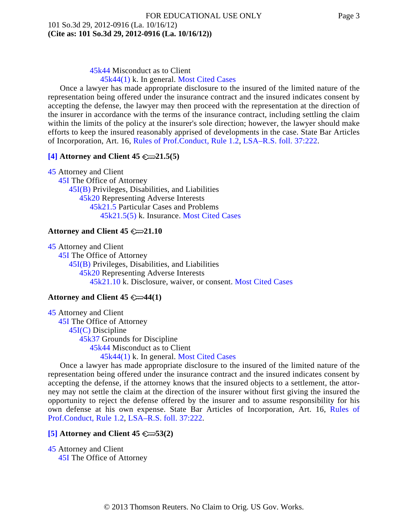[45k44\(1\)](http://www.westlaw.com/KeyNumber/Default.wl?rs=dfa1.0&vr=2.0&CMD=KEY&DocName=45k44%281%29) k. In general. [Most Cited Cases](http://www.westlaw.com/Digest/Default.wl?rs=dfa1.0&vr=2.0&CMD=MCC&DocName=45k44%281%29)

Once a lawyer has made appropriate disclosure to the insured of the limited nature of the representation being offered under the insurance contract and the insured indicates consent by accepting the defense, the lawyer may then proceed with the representation at the direction of the insurer in accordance with the terms of the insurance contract, including settling the claim within the limits of the policy at the insurer's sole direction; however, the lawyer should make efforts to keep the insured reasonably apprised of developments in the case. State Bar Articles of Incorporation, Art. 16, [Rules of Prof.Conduct, Rule 1.2](http://www.westlaw.com/Find/Default.wl?rs=dfa1.0&vr=2.0&DB=1000011&DocName=LASTBAR16RPCR1.2&FindType=L), [LSA–R.S. foll. 37:222](http://www.westlaw.com/Find/Default.wl?rs=dfa1.0&vr=2.0&DB=1000011&DocName=LARS37%3A222&FindType=L).

## <span id="page-2-0"></span>**[\[4\]](#page-7-0) Attorney and Client 45 21.5(5)**

[45](http://www.westlaw.com/KeyNumber/Default.wl?rs=dfa1.0&vr=2.0&CMD=KEY&DocName=45) Attorney and Client [45I](http://www.westlaw.com/KeyNumber/Default.wl?rs=dfa1.0&vr=2.0&CMD=KEY&DocName=45I) The Office of Attorney 45I(B) [Privile](http://www.westlaw.com/KeyNumber/Default.wl?rs=dfa1.0&vr=2.0&CMD=KEY&DocName=45I%28B%29)ges, Disabilities, and Liabilities [45k20](http://www.westlaw.com/KeyNumber/Default.wl?rs=dfa1.0&vr=2.0&CMD=KEY&DocName=45k20) Representing Adverse Interests 45k21.5 Part[icular Ca](http://www.westlaw.com/KeyNumber/Default.wl?rs=dfa1.0&vr=2.0&CMD=KEY&DocName=45k21.5)ses and Problems [45k21.5\(5\)](http://www.westlaw.com/KeyNumber/Default.wl?rs=dfa1.0&vr=2.0&CMD=KEY&DocName=45k21.5%285%29) k. Insurance. [Most Cited Cases](http://www.westlaw.com/Digest/Default.wl?rs=dfa1.0&vr=2.0&CMD=MCC&DocName=45k21.5%285%29)

## **Attorney and Client 45 21.10**

[45](http://www.westlaw.com/KeyNumber/Default.wl?rs=dfa1.0&vr=2.0&CMD=KEY&DocName=45) Attorney and Client [45I](http://www.westlaw.com/KeyNumber/Default.wl?rs=dfa1.0&vr=2.0&CMD=KEY&DocName=45I) The Office of Attorney 45I(B) [Privile](http://www.westlaw.com/KeyNumber/Default.wl?rs=dfa1.0&vr=2.0&CMD=KEY&DocName=45I%28B%29)ges, Disabilities, and Liabilities [45k20](http://www.westlaw.com/KeyNumber/Default.wl?rs=dfa1.0&vr=2.0&CMD=KEY&DocName=45k20) Representing Adverse Interests 45k21.10 k. [Disclosure](http://www.westlaw.com/KeyNumber/Default.wl?rs=dfa1.0&vr=2.0&CMD=KEY&DocName=45k21.10), waiver, or consent. [Most Cited Cases](http://www.westlaw.com/Digest/Default.wl?rs=dfa1.0&vr=2.0&CMD=MCC&DocName=45k21.10)

## **Attorney and Client 45 44(1)**

[45](http://www.westlaw.com/KeyNumber/Default.wl?rs=dfa1.0&vr=2.0&CMD=KEY&DocName=45) Attorney and Client [45I](http://www.westlaw.com/KeyNumber/Default.wl?rs=dfa1.0&vr=2.0&CMD=KEY&DocName=45I) The Office of Attorney 45I(C) [Discip](http://www.westlaw.com/KeyNumber/Default.wl?rs=dfa1.0&vr=2.0&CMD=KEY&DocName=45I%28C%29)line [45k37](http://www.westlaw.com/KeyNumber/Default.wl?rs=dfa1.0&vr=2.0&CMD=KEY&DocName=45k37) Grounds for Discipline 45k44 Misc[onduct](http://www.westlaw.com/KeyNumber/Default.wl?rs=dfa1.0&vr=2.0&CMD=KEY&DocName=45k44) as to Client [45k44\(1\)](http://www.westlaw.com/KeyNumber/Default.wl?rs=dfa1.0&vr=2.0&CMD=KEY&DocName=45k44%281%29) k. In general. [Most Cited Cases](http://www.westlaw.com/Digest/Default.wl?rs=dfa1.0&vr=2.0&CMD=MCC&DocName=45k44%281%29)

Once a lawyer has made appropriate disclosure to the insured of the limited nature of the representation being offered under the insurance contract and the insured indicates consent by accepting the defense, if the attorney knows that the insured objects to a settlement, the attorney may not settle the claim at the direction of the insurer without first giving the insured the opportunity to reject the defense offered by the insurer and to assume responsibility for his own defense at his own expense. State Bar Articles of Incorporation, Art. 16, [Rules of](http://www.westlaw.com/Find/Default.wl?rs=dfa1.0&vr=2.0&DB=1000011&DocName=LASTBAR16RPCR1.2&FindType=L) [Prof.Conduct, Rule 1.2](http://www.westlaw.com/Find/Default.wl?rs=dfa1.0&vr=2.0&DB=1000011&DocName=LASTBAR16RPCR1.2&FindType=L), [LSA–R.S. foll. 37:222](http://www.westlaw.com/Find/Default.wl?rs=dfa1.0&vr=2.0&DB=1000011&DocName=LARS37%3A222&FindType=L).

## <span id="page-2-1"></span>**[\[5\]](#page-8-0) Attorney and Client 45 53(2)**

[45](http://www.westlaw.com/KeyNumber/Default.wl?rs=dfa1.0&vr=2.0&CMD=KEY&DocName=45) Attorney and Client [45I](http://www.westlaw.com/KeyNumber/Default.wl?rs=dfa1.0&vr=2.0&CMD=KEY&DocName=45I) The Office of Attorney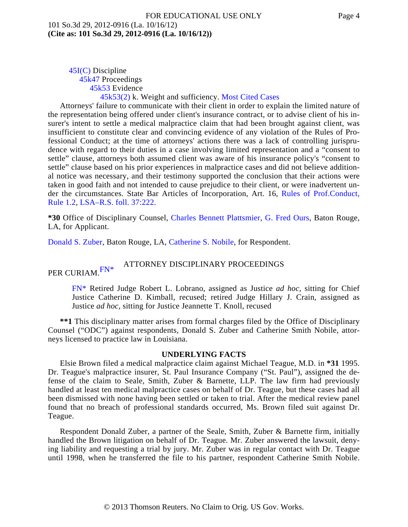#### 45I(C) [Discip](http://www.westlaw.com/KeyNumber/Default.wl?rs=dfa1.0&vr=2.0&CMD=KEY&DocName=45I%28C%29)line [45k47](http://www.westlaw.com/KeyNumber/Default.wl?rs=dfa1.0&vr=2.0&CMD=KEY&DocName=45k47) Proceedings 45k53 Evide[nce](http://www.westlaw.com/KeyNumber/Default.wl?rs=dfa1.0&vr=2.0&CMD=KEY&DocName=45k53) [45k53\(2\)](http://www.westlaw.com/KeyNumber/Default.wl?rs=dfa1.0&vr=2.0&CMD=KEY&DocName=45k53%282%29) k. Weight and sufficiency. [Most Cited Cases](http://www.westlaw.com/Digest/Default.wl?rs=dfa1.0&vr=2.0&CMD=MCC&DocName=45k53%282%29)

Attorneys' failure to communicate with their client in order to explain the limited nature of the representation being offered under client's insurance contract, or to advise client of his insurer's intent to settle a medical malpractice claim that had been brought against client, was insufficient to constitute clear and convincing evidence of any violation of the Rules of Professional Conduct; at the time of attorneys' actions there was a lack of controlling jurisprudence with regard to their duties in a case involving limited representation and a "consent to settle" clause, attorneys both assumed client was aware of his insurance policy's "consent to settle" clause based on his prior experiences in malpractice cases and did not believe additional notice was necessary, and their testimony supported the conclusion that their actions were taken in good faith and not intended to cause prejudice to their client, or were inadvertent under the circumstances. State Bar Articles of Incorporation, Art. 16, [Rules of Prof.Conduct](http://www.westlaw.com/Find/Default.wl?rs=dfa1.0&vr=2.0&DB=1000011&DocName=LASTBAR16RPCR1.2&FindType=L), [Rule 1.2](http://www.westlaw.com/Find/Default.wl?rs=dfa1.0&vr=2.0&DB=1000011&DocName=LASTBAR16RPCR1.2&FindType=L), [LSA–R.S. foll. 37:222](http://www.westlaw.com/Find/Default.wl?rs=dfa1.0&vr=2.0&DB=1000011&DocName=LARS37%3A222&FindType=L).

**\*30** Office of Disciplinary Counsel, [Charles Bennett Plattsmie](http://www.westlaw.com/Find/Default.wl?rs=dfa1.0&vr=2.0&DB=PROFILER-WLD&DocName=0115364101&FindType=h)r, [G. Fred Our](http://www.westlaw.com/Find/Default.wl?rs=dfa1.0&vr=2.0&DB=PROFILER-WLD&DocName=0100262701&FindType=h)s, Baton Rouge, LA, for Applicant.

[Donald S. Zuber](http://www.westlaw.com/Find/Default.wl?rs=dfa1.0&vr=2.0&DB=PROFILER-WLD&DocName=0226685301&FindType=h), Baton Rouge, LA, [Catherine S. Nobile](http://www.westlaw.com/Find/Default.wl?rs=dfa1.0&vr=2.0&DB=PROFILER-WLD&DocName=0255743501&FindType=h), for Respondent.

### ATTORNEY DISCIPLINARY PROCEEDINGS

<span id="page-3-1"></span><span id="page-3-0"></span>PE[R CURIAM.](#page-3-0)  $FN*$ 

[FN\\*](#page-3-1) Retired Judge Robert L. Lobrano, assigned as Justice *ad hoc,* sitting for Chief Justice Catherine D. Kimball, recused; retired Judge Hillary J. Crain, assigned as Justice *ad hoc,* sitting for Justice Jeannette T. Knoll, recused

**\*\*1** This disciplinary matter arises from formal charges filed by the Office of Disciplinary Counsel ("ODC") against respondents, Donald S. Zuber and Catherine Smith Nobile, attorneys licensed to practice law in Louisiana.

#### **UNDERLYING FACTS**

Elsie Brown filed a medical malpractice claim against Michael Teague, M.D. in **\*31** 1995. Dr. Teague's malpractice insurer, St. Paul Insurance Company ("St. Paul"), assigned the defense of the claim to Seale, Smith, Zuber & Barnette, LLP. The law firm had previously handled at least ten medical malpractice cases on behalf of Dr. Teague, but these cases had all been dismissed with none having been settled or taken to trial. After the medical review panel found that no breach of professional standards occurred, Ms. Brown filed suit against Dr. Teague.

Respondent Donald Zuber, a partner of the Seale, Smith, Zuber & Barnette firm, initially handled the Brown litigation on behalf of Dr. Teague. Mr. Zuber answered the lawsuit, denying liability and requesting a trial by jury. Mr. Zuber was in regular contact with Dr. Teague until 1998, when he transferred the file to his partner, respondent Catherine Smith Nobile.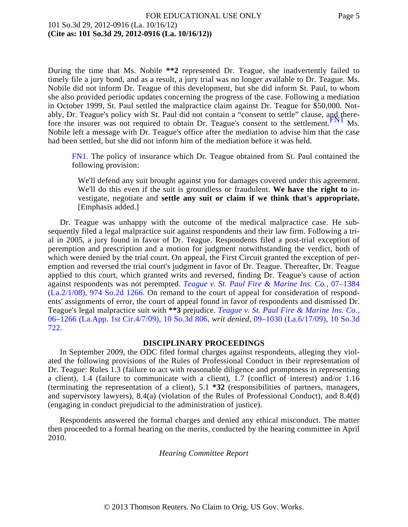During the time that Ms. Nobile **\*\*2** represented Dr. Teague, she inadvertently failed to timely file a jury bond, and as a result, a jury trial was no longer available to Dr. Teague. Ms. Nobile did not inform Dr. Teague of this development, but she did inform St. Paul, to whom she also provided periodic updates concerning the progress of the case. Following a mediation in October 1999, St. Paul settled the malpractice claim against Dr. Teague for \$50,000. Notably, Dr. Teague's policy with St. Paul did not contain a "consent to settle" clause, and therefore the insurer was not required to obtain Dr. Teague's consent to the [settlement.](#page-4-0)<sup>FN1</sup> Ms. Nobile left a message with Dr. Teague's office after the mediation to advise him that the case had been settled, but she did not inform him of the mediation before it was held.

<span id="page-4-1"></span><span id="page-4-0"></span>[FN1.](#page-4-1) The policy of insurance which Dr. Teague obtained from St. Paul contained the following provision:

We'll defend any suit brought against you for damages covered under this agreement. We'll do this even if the suit is groundless or fraudulent. **We have the right to** investigate, negotiate and **settle any suit or claim if we think that's appropriate.** [Emphasis added.]

Dr. Teague was unhappy with the outcome of the medical malpractice case. He subsequently filed a legal malpractice suit against respondents and their law firm. Following a trial in 2005, a jury found in favor of Dr. Teague. Respondents filed a post-trial exception of peremption and prescription and a motion for judgment notwithstanding the verdict, both of which were denied by the trial court. On appeal, the First Circuit granted the exception of peremption and reversed the trial court's judgment in favor of Dr. Teague. Thereafter, Dr. Teague applied to this court, which granted writs and reversed, finding Dr. Teague's cause of action against respondents was not perempted. *[Teague v. St. Paul Fire & Marine Ins. Co](http://www.westlaw.com/Find/Default.wl?rs=dfa1.0&vr=2.0&DB=735&FindType=Y&SerialNum=2015084462).,* [07–1384](http://www.westlaw.com/Find/Default.wl?rs=dfa1.0&vr=2.0&DB=735&FindType=Y&SerialNum=2015084462) [\(La.2/1/08\), 974 So.2d 1266](http://www.westlaw.com/Find/Default.wl?rs=dfa1.0&vr=2.0&DB=735&FindType=Y&SerialNum=2015084462). On remand to the court of appeal for consideration of respondents' assignments of error, the court of appeal found in favor of respondents and dismissed Dr. Teague's legal malpractice suit with **\*\*3** prejudice. *[Teague v. St. Paul Fire & Marine Ins. Co.,](http://www.westlaw.com/Find/Default.wl?rs=dfa1.0&vr=2.0&DB=3926&FindType=Y&SerialNum=2018560211)* [06–1266 \(La.App. 1st Cir.4/7/09\), 10 So.3d 806](http://www.westlaw.com/Find/Default.wl?rs=dfa1.0&vr=2.0&DB=3926&FindType=Y&SerialNum=2018560211), *writ denied,* [09–1030 \(La.6/17/09\), 10 So.3d](http://www.westlaw.com/Find/Default.wl?rs=dfa1.0&vr=2.0&DB=3926&FindType=Y&SerialNum=2019289765) [722](http://www.westlaw.com/Find/Default.wl?rs=dfa1.0&vr=2.0&DB=3926&FindType=Y&SerialNum=2019289765).

#### **DISCIPLINARY PROCEEDINGS**

In September 2009, the ODC filed formal charges against respondents, alleging they violated the following provisions of the Rules of Professional Conduct in their representation of Dr. Teague: Rules 1.3 (failure to act with reasonable diligence and promptness in representing a client), 1.4 (failure to communicate with a client), 1.7 (conflict of interest) and/or 1.16 (terminating the representation of a client), 5.1 **\*32** (responsibilities of partners, managers, and supervisory lawyers), 8.4(a) (violation of the Rules of Professional Conduct), and 8.4(d) (engaging in conduct prejudicial to the administration of justice).

Respondents answered the formal charges and denied any ethical misconduct. The matter then proceeded to a formal hearing on the merits, conducted by the hearing committee in April 2010.

*Hearing Committee Report*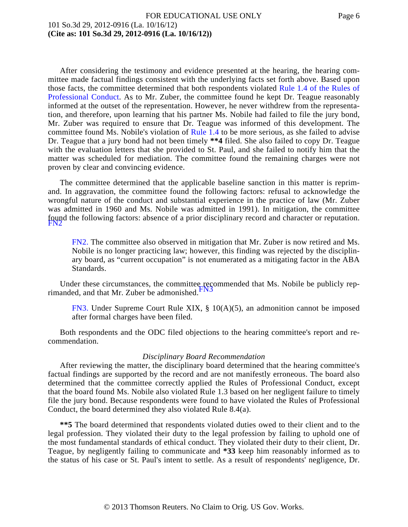After considering the testimony and evidence presented at the hearing, the hearing committee made factual findings consistent with the underlying facts set forth above. Based upon those facts, the committee determined that both respondents violated [Rule 1.4 of the Rules of](http://www.westlaw.com/Find/Default.wl?rs=dfa1.0&vr=2.0&DB=1000011&DocName=LASTBAR16RPCR1.4&FindType=L) [Professional Conduc](http://www.westlaw.com/Find/Default.wl?rs=dfa1.0&vr=2.0&DB=1000011&DocName=LASTBAR16RPCR1.4&FindType=L)t. As to Mr. Zuber, the committee found he kept Dr. Teague reasonably informed at the outset of the representation. However, he never withdrew from the representation, and therefore, upon learning that his partner Ms. Nobile had failed to file the jury bond, Mr. Zuber was required to ensure that Dr. Teague was informed of this development. The committee found Ms. Nobile's violation of [Rule 1.4](http://www.westlaw.com/Find/Default.wl?rs=dfa1.0&vr=2.0&DB=1000011&DocName=LASTBAR16RPCR1.4&FindType=L) to be more serious, as she failed to advise Dr. Teague that a jury bond had not been timely **\*\*4** filed. She also failed to copy Dr. Teague with the evaluation letters that she provided to St. Paul, and she failed to notify him that the matter was scheduled for mediation. The committee found the remaining charges were not proven by clear and convincing evidence.

The committee determined that the applicable baseline sanction in this matter is reprimand. In aggravation, the committee found the following factors: refusal to acknowledge the wrongful nature of the conduct and substantial experience in the practice of law (Mr. Zuber was admitted in 1960 and Ms. Nobile was admitted in 1991). In mitigation, the committee found the following factors: absence of a prior disciplinary record and character or reputation.

<span id="page-5-1"></span><span id="page-5-0"></span>[FN2.](#page-5-1) The committee also observed in mitigation that Mr. Zuber is now retired and Ms. Nobile is no longer practicing law; however, this finding was rejected by the disciplinary board, as "current occupation" is not enumerated as a mitigating factor in the ABA Standards.

<span id="page-5-3"></span><span id="page-5-2"></span>Under these circumstances, the committee recommended that Ms. Nobile be publicly rep-<br>rimanded, and that Mr. Zuber be [admonished.](#page-5-2)  $\frac{FN3}{FN3}$ 

[FN3.](#page-5-3) Under Supreme Court Rule XIX, § 10(A)(5), an admonition cannot be imposed after formal charges have been filed.

Both respondents and the ODC filed objections to the hearing committee's report and recommendation.

#### *Disciplinary Board Recommendation*

After reviewing the matter, the disciplinary board determined that the hearing committee's factual findings are supported by the record and are not manifestly erroneous. The board also determined that the committee correctly applied the Rules of Professional Conduct, except that the board found Ms. Nobile also violated Rule 1.3 based on her negligent failure to timely file the jury bond. Because respondents were found to have violated the Rules of Professional Conduct, the board determined they also violated Rule 8.4(a).

**\*\*5** The board determined that respondents violated duties owed to their client and to the legal profession. They violated their duty to the legal profession by failing to uphold one of the most fundamental standards of ethical conduct. They violated their duty to their client, Dr. Teague, by negligently failing to communicate and **\*33** keep him reasonably informed as to the status of his case or St. Paul's intent to settle. As a result of respondents' negligence, Dr.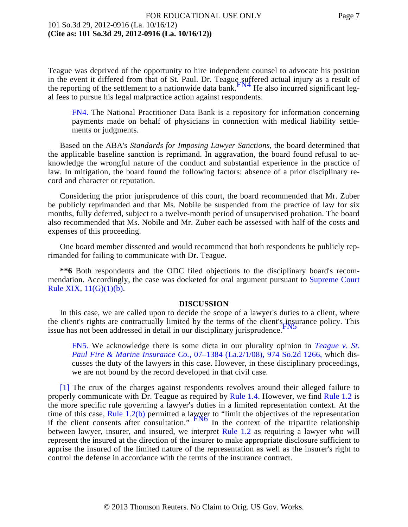<span id="page-6-2"></span>Teague was deprived of the opportunity to hire independent counsel to advocate his position in the event it differed from that of St. Paul. Dr. Teague suffered actual injury as a result of the reporting of the settlement to a nationwide data [bank.](#page-6-1) The also incurred significant legal fees to pursue his legal malpractice action against respondents.

<span id="page-6-1"></span>[FN4.](#page-6-2) The National Practitioner Data Bank is a repository for information concerning payments made on behalf of physicians in connection with medical liability settlements or judgments.

Based on the ABA's *Standards for Imposing Lawyer Sanctions,* the board determined that the applicable baseline sanction is reprimand. In aggravation, the board found refusal to acknowledge the wrongful nature of the conduct and substantial experience in the practice of law. In mitigation, the board found the following factors: absence of a prior disciplinary record and character or reputation.

Considering the prior jurisprudence of this court, the board recommended that Mr. Zuber be publicly reprimanded and that Ms. Nobile be suspended from the practice of law for six months, fully deferred, subject to a twelve-month period of unsupervised probation. The board also recommended that Ms. Nobile and Mr. Zuber each be assessed with half of the costs and expenses of this proceeding.

One board member dissented and would recommend that both respondents be publicly reprimanded for failing to communicate with Dr. Teague.

**\*\*6** Both respondents and the ODC filed objections to the disciplinary board's recommendation. Accordingly, the case was docketed for oral argument pursuant to [Supreme Court](http://www.westlaw.com/Find/Default.wl?rs=dfa1.0&vr=2.0&DB=1000011&DocName=LASTSCTR19&FindType=L) [Rule XIX](http://www.westlaw.com/Find/Default.wl?rs=dfa1.0&vr=2.0&DB=1000011&DocName=LASTSCTR19&FindType=L),  $11(G)(1)(b)$ .

#### **DISCUSSION**

<span id="page-6-4"></span>In this case, we are called upon to decide the scope of a lawyer's duties to a client, where the client's rights are contractually limited by the terms of the client's insurance policy. This issue has not been addressed in detail in our disciplinar[y jurisprudence.](#page-6-3) FN5

<span id="page-6-3"></span>[FN5.](#page-6-4) We acknowledge there is some dicta in our plurality opinion in *[Teague v. St](http://www.westlaw.com/Find/Default.wl?rs=dfa1.0&vr=2.0&DB=735&FindType=Y&SerialNum=2015084462). [Paul Fire & Marine Insurance Co](http://www.westlaw.com/Find/Default.wl?rs=dfa1.0&vr=2.0&DB=735&FindType=Y&SerialNum=2015084462).,* [07–1384 \(La.2/1/08\), 974 So.2d 1266](http://www.westlaw.com/Find/Default.wl?rs=dfa1.0&vr=2.0&DB=735&FindType=Y&SerialNum=2015084462), which discusses the duty of the lawyers in this case. However, in these disciplinary proceedings, we are not bound by the record developed in that civil case.

<span id="page-6-5"></span><span id="page-6-0"></span>[\[1\]](#page-0-0) The crux of the charges against respondents revolves around their alleged failure to properly communicate with Dr. Teague as required by [Rule 1.4](http://www.westlaw.com/Find/Default.wl?rs=dfa1.0&vr=2.0&DB=1000011&DocName=LASTBAR16RPCR1.4&FindType=L). However, we find [Rule 1.2](http://www.westlaw.com/Find/Default.wl?rs=dfa1.0&vr=2.0&DB=1000011&DocName=LASTBAR16RPCR1.2&FindType=L) is the more specific rule governing a lawyer's duties in a limited representation context. At the time of this case, [Rule 1.2\(b\)](http://www.westlaw.com/Find/Default.wl?rs=dfa1.0&vr=2.0&DB=1000011&DocName=LASTBAR16RPCR1.2&FindType=L) permitted a lawyer to "limit the objectives of the representation if the client consents after consultation."  $\frac{FN6}{FN6}$  $\frac{FN6}{FN6}$  $\frac{FN6}{FN6}$  In the context of the tripartite relationship between lawyer, insurer, and insured, we interpret [Rule 1.2](http://www.westlaw.com/Find/Default.wl?rs=dfa1.0&vr=2.0&DB=1000011&DocName=LASTBAR16RPCR1.2&FindType=L) as requiring a lawyer who will represent the insured at the direction of the insurer to make appropriate disclosure sufficient to apprise the insured of the limited nature of the representation as well as the insurer's right to control the defense in accordance with the terms of the insurance contract.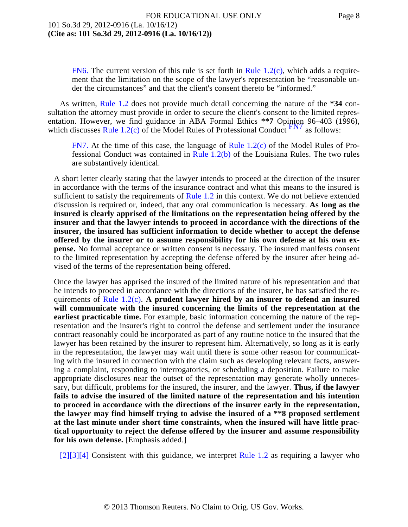<span id="page-7-1"></span>[FN6.](#page-6-5) The current version of this rule is set forth in Rule  $1.2(c)$ , which adds a requirement that the limitation on the scope of the lawyer's representation be "reasonable under the circumstances" and that the client's consent thereto be "informed."

<span id="page-7-3"></span>As written, [Rule 1.2](http://www.westlaw.com/Find/Default.wl?rs=dfa1.0&vr=2.0&DB=1000011&DocName=LASTBAR16RPCR1.2&FindType=L) does not provide much detail concerning the nature of the **\*34** consultation the attorney must provide in order to secure the client's consent to the limited representation. However, we find guidance in ABA Formal Ethics \*\*7 Opinion 96–403 (1996), which discusses [Rule 1.2\(c\)](http://www.westlaw.com/Find/Default.wl?rs=dfa1.0&vr=2.0&DB=1000011&DocName=LASTBAR16RPCR1.2&FindType=L) of the Model Rules of Professional Conduct  $\frac{FN}{TN}$  as follows:

<span id="page-7-2"></span>[FN7.](#page-7-3) At the time of this case, the language of [Rule 1.2\(c\)](http://www.westlaw.com/Find/Default.wl?rs=dfa1.0&vr=2.0&DB=1000011&DocName=LASTBAR16RPCR1.2&FindType=L) of the Model Rules of Professional Conduct was contained in [Rule 1.2\(b\)](http://www.westlaw.com/Find/Default.wl?rs=dfa1.0&vr=2.0&DB=1000011&DocName=LASTBAR16RPCR1.2&FindType=L) of the Louisiana Rules. The two rules are substantively identical.

A short letter clearly stating that the lawyer intends to proceed at the direction of the insurer in accordance with the terms of the insurance contract and what this means to the insured is sufficient to satisfy the requirements of Rule  $1.2$  in this context. We do not believe extended discussion is required or, indeed, that any oral communication is necessary. **As long as the insured is clearly apprised of the limitations on the representation being offered by the insurer and that the lawyer intends to proceed in accordance with the directions of the insurer, the insured has sufficient information to decide whether to accept the defense offered by the insurer or to assume responsibility for his own defense at his own expense.** No formal acceptance or written consent is necessary. The insured manifests consent to the limited representation by accepting the defense offered by the insurer after being advised of the terms of the representation being offered.

Once the lawyer has apprised the insured of the limited nature of his representation and that he intends to proceed in accordance with the directions of the insurer, he has satisfied the requirements of [Rule 1.2\(c](http://www.westlaw.com/Find/Default.wl?rs=dfa1.0&vr=2.0&DB=1000011&DocName=LASTBAR16RPCR1.2&FindType=L)). **A prudent lawyer hired by an insurer to defend an insured will communicate with the insured concerning the limits of the representation at the earliest practicable time.** For example, basic information concerning the nature of the representation and the insurer's right to control the defense and settlement under the insurance contract reasonably could be incorporated as part of any routine notice to the insured that the lawyer has been retained by the insurer to represent him. Alternatively, so long as it is early in the representation, the lawyer may wait until there is some other reason for communicating with the insured in connection with the claim such as developing relevant facts, answering a complaint, responding to interrogatories, or scheduling a deposition. Failure to make appropriate disclosures near the outset of the representation may generate wholly unnecessary, but difficult, problems for the insured, the insurer, and the lawyer. **Thus, if the lawyer fails to advise the insured of the limited nature of the representation and his intention to proceed in accordance with the directions of the insurer early in the representation, the lawyer may find himself trying to advise the insured of a \*\*8 proposed settlement at the last minute under short time constraints, when the insured will have little practical opportunity to reject the defense offered by the insurer and assume responsibility for his own defense.** [Emphasis added.]

<span id="page-7-0"></span> $[2][3][4]$  $[2][3][4]$  $[2][3][4]$  Consistent with this guidance, we interpret [Rule 1.2](http://www.westlaw.com/Find/Default.wl?rs=dfa1.0&vr=2.0&DB=1000011&DocName=LASTBAR16RPCR1.2&FindType=L) as requiring a lawyer who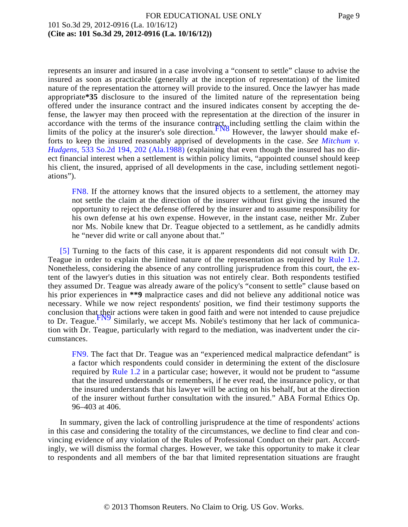<span id="page-8-2"></span>represents an insurer and insured in a case involving a "consent to settle" clause to advise the insured as soon as practicable (generally at the inception of representation) of the limited nature of the representation the attorney will provide to the insured. Once the lawyer has made appropriate**\*35** disclosure to the insured of the limited nature of the representation being offered under the insurance contract and the insured indicates consent by accepting the defense, the lawyer may then proceed with the representation at the direction of the insurer in accordance with the terms of the insurance contract, including settling the claim within the limits of the policy at the insurer's sole [direction.](#page-8-1) FN8 However, the lawyer should make efforts to keep the insured reasonably apprised of developments in the case. *See [Mitchum v.](http://www.westlaw.com/Find/Default.wl?rs=dfa1.0&vr=2.0&DB=735&FindType=Y&ReferencePositionType=S&SerialNum=1988146537&ReferencePosition=202) [Hudgens,](http://www.westlaw.com/Find/Default.wl?rs=dfa1.0&vr=2.0&DB=735&FindType=Y&ReferencePositionType=S&SerialNum=1988146537&ReferencePosition=202)* [533 So.2d 194, 202 \(Ala.1988](http://www.westlaw.com/Find/Default.wl?rs=dfa1.0&vr=2.0&DB=735&FindType=Y&ReferencePositionType=S&SerialNum=1988146537&ReferencePosition=202)) (explaining that even though the insured has no direct financial interest when a settlement is within policy limits, "appointed counsel should keep his client, the insured, apprised of all developments in the case, including settlement negotiations").

<span id="page-8-1"></span>[FN8.](#page-8-2) If the attorney knows that the insured objects to a settlement, the attorney may not settle the claim at the direction of the insurer without first giving the insured the opportunity to reject the defense offered by the insurer and to assume responsibility for his own defense at his own expense. However, in the instant case, neither Mr. Zuber nor Ms. Nobile knew that Dr. Teague objected to a settlement, as he candidly admits he "never did write or call anyone about that."

<span id="page-8-0"></span>[\[5\]](#page-2-1) Turning to the facts of this case, it is apparent respondents did not consult with Dr. Teague in order to explain the limited nature of the representation as required by [Rule 1.2](http://www.westlaw.com/Find/Default.wl?rs=dfa1.0&vr=2.0&DB=1000011&DocName=LASTBAR16RPCR1.2&FindType=L). Nonetheless, considering the absence of any controlling jurisprudence from this court, the extent of the lawyer's duties in this situation was not entirely clear. Both respondents testified they assumed Dr. Teague was already aware of the policy's "consent to settle" clause based on his prior experiences in **\*\*9** malpractice cases and did not believe any additional notice was necessary. While we now reject respondents' position, we find their testimony supports the conclusion that their actions were taken in good faith and were not intended to cause prejudice to Dr. [Teague.](#page-8-3)<sup>FIN9</sup> Similarly, we accept Ms. Nobile's testimony that her lack of communication with Dr. Teague, particularly with regard to the mediation, was inadvertent under the circumstances.

<span id="page-8-4"></span><span id="page-8-3"></span>[FN9.](#page-8-4) The fact that Dr. Teague was an "experienced medical malpractice defendant" is a factor which respondents could consider in determining the extent of the disclosure required by [Rule 1.2](http://www.westlaw.com/Find/Default.wl?rs=dfa1.0&vr=2.0&DB=1000011&DocName=LASTBAR16RPCR1.2&FindType=L) in a particular case; however, it would not be prudent to "assume" that the insured understands or remembers, if he ever read, the insurance policy, or that the insured understands that his lawyer will be acting on his behalf, but at the direction of the insurer without further consultation with the insured." ABA Formal Ethics Op. 96–403 at 406.

In summary, given the lack of controlling jurisprudence at the time of respondents' actions in this case and considering the totality of the circumstances, we decline to find clear and convincing evidence of any violation of the Rules of Professional Conduct on their part. Accordingly, we will dismiss the formal charges. However, we take this opportunity to make it clear to respondents and all members of the bar that limited representation situations are fraught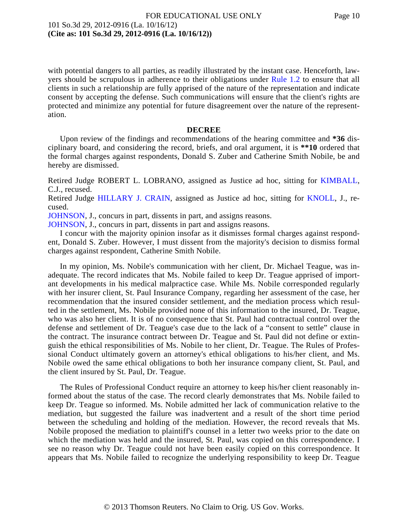with potential dangers to all parties, as readily illustrated by the instant case. Henceforth, lawyers should be scrupulous in adherence to their obligations under [Rule 1.2](http://www.westlaw.com/Find/Default.wl?rs=dfa1.0&vr=2.0&DB=1000011&DocName=LASTBAR16RPCR1.2&FindType=L) to ensure that all clients in such a relationship are fully apprised of the nature of the representation and indicate consent by accepting the defense. Such communications will ensure that the client's rights are protected and minimize any potential for future disagreement over the nature of the representation.

#### **DECREE**

Upon review of the findings and recommendations of the hearing committee and **\*36** disciplinary board, and considering the record, briefs, and oral argument, it is **\*\*10** ordered that the formal charges against respondents, Donald S. Zuber and Catherine Smith Nobile, be and hereby are dismissed.

Retired Judge ROBERT L. LOBRANO, assigned as Justice ad hoc, sitting for [KIMBALL](http://www.westlaw.com/Find/Default.wl?rs=dfa1.0&vr=2.0&DB=PROFILER-WLD&DocName=0161078401&FindType=h), C.J., recused.

Retired Judge [HILLARY J. CRAIN](http://www.westlaw.com/Find/Default.wl?rs=dfa1.0&vr=2.0&DB=PROFILER-WLD&DocName=0226682501&FindType=h), assigned as Justice ad hoc, sitting for [KNOLL](http://www.westlaw.com/Find/Default.wl?rs=dfa1.0&vr=2.0&DB=PROFILER-WLD&DocName=0226549501&FindType=h), J., recused.

[JOHNSON,](http://www.westlaw.com/Find/Default.wl?rs=dfa1.0&vr=2.0&DB=PROFILER-WLD&DocName=0202217201&FindType=h) J., concurs in part, dissents in part, and assigns reasons.

[JOHNSON,](http://www.westlaw.com/Find/Default.wl?rs=dfa1.0&vr=2.0&DB=PROFILER-WLD&DocName=0202217201&FindType=h) J., concurs in part, dissents in part and assigns reasons.

I concur with the majority opinion insofar as it dismisses formal charges against respondent, Donald S. Zuber. However, I must dissent from the majority's decision to dismiss formal charges against respondent, Catherine Smith Nobile.

In my opinion, Ms. Nobile's communication with her client, Dr. Michael Teague, was inadequate. The record indicates that Ms. Nobile failed to keep Dr. Teague apprised of important developments in his medical malpractice case. While Ms. Nobile corresponded regularly with her insurer client, St. Paul Insurance Company, regarding her assessment of the case, her recommendation that the insured consider settlement, and the mediation process which resulted in the settlement, Ms. Nobile provided none of this information to the insured, Dr. Teague, who was also her client. It is of no consequence that St. Paul had contractual control over the defense and settlement of Dr. Teague's case due to the lack of a "consent to settle" clause in the contract. The insurance contract between Dr. Teague and St. Paul did not define or extinguish the ethical responsibilities of Ms. Nobile to her client, Dr. Teague. The Rules of Professional Conduct ultimately govern an attorney's ethical obligations to his/her client, and Ms. Nobile owed the same ethical obligations to both her insurance company client, St. Paul, and the client insured by St. Paul, Dr. Teague.

The Rules of Professional Conduct require an attorney to keep his/her client reasonably informed about the status of the case. The record clearly demonstrates that Ms. Nobile failed to keep Dr. Teague so informed. Ms. Nobile admitted her lack of communication relative to the mediation, but suggested the failure was inadvertent and a result of the short time period between the scheduling and holding of the mediation. However, the record reveals that Ms. Nobile proposed the mediation to plaintiff's counsel in a letter two weeks prior to the date on which the mediation was held and the insured, St. Paul, was copied on this correspondence. I see no reason why Dr. Teague could not have been easily copied on this correspondence. It appears that Ms. Nobile failed to recognize the underlying responsibility to keep Dr. Teague